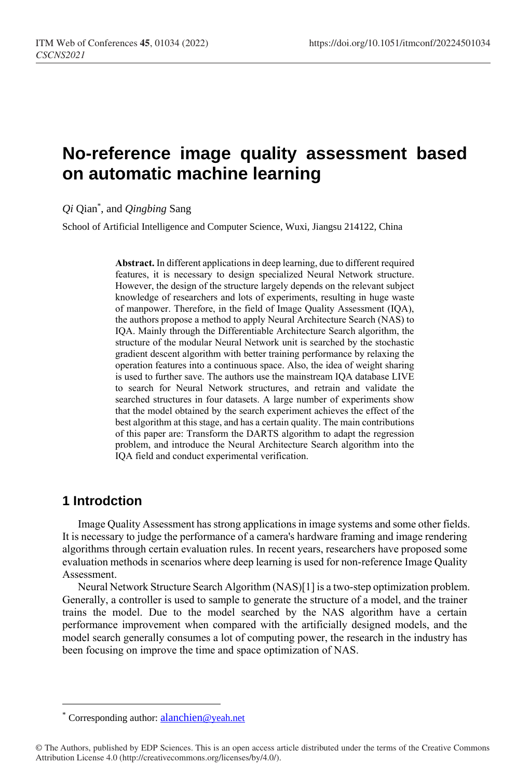# **No-reference image quality assessment based on automatic machine learning**

*Qi* Qian\* , and *Qingbing* Sang

School of Artificial Intelligence and Computer Science, Wuxi, Jiangsu 214122, China

**Abstract.** In different applications in deep learning, due to different required features, it is necessary to design specialized Neural Network structure. However, the design of the structure largely depends on the relevant subject knowledge of researchers and lots of experiments, resulting in huge waste of manpower. Therefore, in the field of Image Quality Assessment (IQA), the authors propose a method to apply Neural Architecture Search (NAS) to IQA. Mainly through the Differentiable Architecture Search algorithm, the structure of the modular Neural Network unit is searched by the stochastic gradient descent algorithm with better training performance by relaxing the operation features into a continuous space. Also, the idea of weight sharing is used to further save. The authors use the mainstream IQA database LIVE to search for Neural Network structures, and retrain and validate the searched structures in four datasets. A large number of experiments show that the model obtained by the search experiment achieves the effect of the best algorithm at this stage, and has a certain quality. The main contributions of this paper are: Transform the DARTS algorithm to adapt the regression problem, and introduce the Neural Architecture Search algorithm into the IQA field and conduct experimental verification.

# **1 Introdction**

l,

Image Quality Assessment has strong applications in image systems and some other fields. It is necessary to judge the performance of a camera's hardware framing and image rendering algorithms through certain evaluation rules. In recent years, researchers have proposed some evaluation methods in scenarios where deep learning is used for non-reference Image Quality Assessment.

Neural Network Structure Search Algorithm (NAS)[1] is a two-step optimization problem. Generally, a controller is used to sample to generate the structure of a model, and the trainer trains the model. Due to the model searched by the NAS algorithm have a certain performance improvement when compared with the artificially designed models, and the model search generally consumes a lot of computing power, the research in the industry has been focusing on improve the time and space optimization of NAS.

<sup>\*</sup> Corresponding author: [alanchien](mailto:alanchien@yeah.net)@yeah.net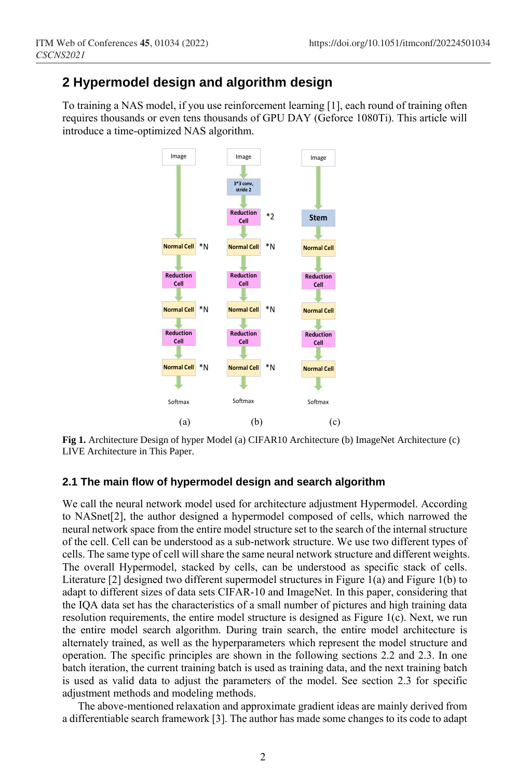# **2 Hypermodel design and algorithm design**

To training a NAS model, if you use reinforcement learning [1], each round of training often requires thousands or even tens thousands of GPU DAY (Geforce 1080Ti). This article will introduce a time-optimized NAS algorithm.



**Fig 1.** Architecture Design of hyper Model (a) CIFAR10 Architecture (b) ImageNet Architecture (c) LIVE Architecture in This Paper.

### **2.1 The main flow of hypermodel design and search algorithm**

We call the neural network model used for architecture adjustment Hypermodel. According to NASnet[2], the author designed a hypermodel composed of cells, which narrowed the neural network space from the entire model structure set to the search of the internal structure of the cell. Cell can be understood as a sub-network structure. We use two different types of cells. The same type of cell will share the same neural network structure and different weights. The overall Hypermodel, stacked by cells, can be understood as specific stack of cells. Literature [2] designed two different supermodel structures in Figure 1(a) and Figure 1(b) to adapt to different sizes of data sets CIFAR-10 and ImageNet. In this paper, considering that the IQA data set has the characteristics of a small number of pictures and high training data resolution requirements, the entire model structure is designed as Figure 1(c). Next, we run the entire model search algorithm. During train search, the entire model architecture is alternately trained, as well as the hyperparameters which represent the model structure and operation. The specific principles are shown in the following sections 2.2 and 2.3. In one batch iteration, the current training batch is used as training data, and the next training batch is used as valid data to adjust the parameters of the model. See section 2.3 for specific adjustment methods and modeling methods.

The above-mentioned relaxation and approximate gradient ideas are mainly derived from a differentiable search framework [3]. The author has made some changes to its code to adapt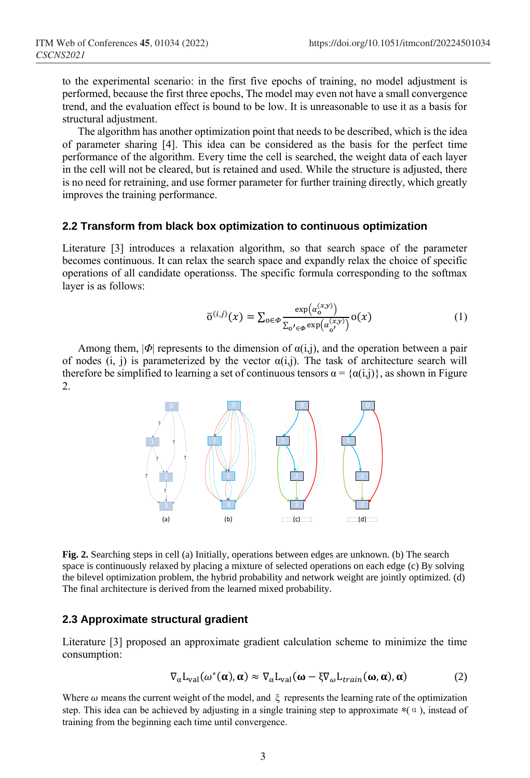to the experimental scenario: in the first five epochs of training, no model adjustment is performed, because the first three epochs, The model may even not have a small convergence trend, and the evaluation effect is bound to be low. It is unreasonable to use it as a basis for structural adjustment.

The algorithm has another optimization point that needs to be described, which is the idea of parameter sharing [4]. This idea can be considered as the basis for the perfect time performance of the algorithm. Every time the cell is searched, the weight data of each layer in the cell will not be cleared, but is retained and used. While the structure is adjusted, there is no need for retraining, and use former parameter for further training directly, which greatly improves the training performance.

### **2.2 Transform from black box optimization to continuous optimization**

Literature [3] introduces a relaxation algorithm, so that search space of the parameter becomes continuous. It can relax the search space and expandly relax the choice of specific operations of all candidate operationss. The specific formula corresponding to the softmax layer is as follows:

$$
\overline{o}^{(i,j)}(x) = \sum_{o \in \Phi} \frac{\exp(\alpha_o^{(x,y)})}{\sum_{o' \in \Phi} \exp(\alpha_{o'}^{(x,y)})} o(x)
$$
(1)

Among them,  $|\Phi|$  represents to the dimension of  $\alpha(i,j)$ , and the operation between a pair of nodes (i, j) is parameterized by the vector  $\alpha(i,j)$ . The task of architecture search will therefore be simplified to learning a set of continuous tensors  $\alpha = {\alpha(i,j)}$ , as shown in Figure 2.



**Fig. 2.** Searching steps in cell (a) Initially, operations between edges are unknown. (b) The search space is continuously relaxed by placing a mixture of selected operations on each edge (c) By solving the bilevel optimization problem, the hybrid probability and network weight are jointly optimized. (d) The final architecture is derived from the learned mixed probability.

## **2.3 Approximate structural gradient**

Literature [3] proposed an approximate gradient calculation scheme to minimize the time [consumption:](https://fanyi.baidu.com/#en/zh/consumption)

$$
\nabla_{\alpha} L_{\text{val}}(\omega^*(\alpha), \alpha) \approx \nabla_{\alpha} L_{\text{val}}(\omega - \xi \nabla_{\omega} L_{\text{train}}(\omega, \alpha), \alpha) \tag{2}
$$

Where  $\omega$  means the current weight of the model, and  $\xi$  represents the learning rate of the optimization step. This idea can be achieved by adjusting in a single training step to approximate  $*(\alpha)$ , instead of training from the beginning each time until convergence.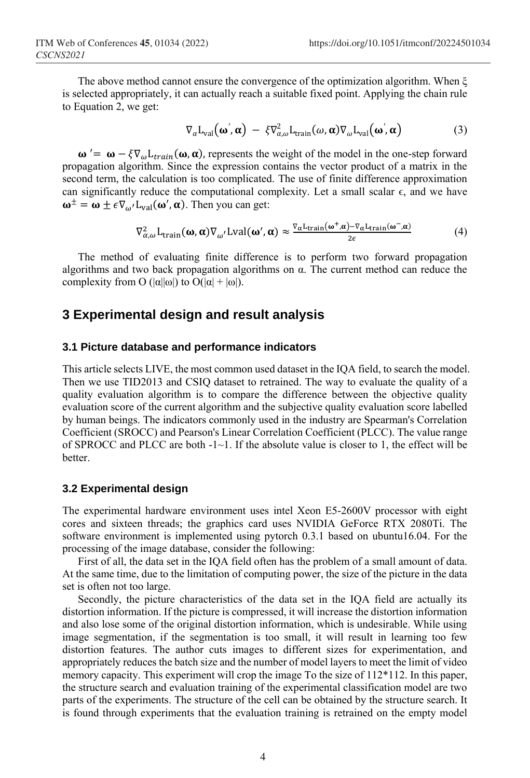The above method cannot ensure the convergence of the optimization algorithm. When  $\xi$ is selected appropriately, it can actually reach a suitable fixed point. Applying the chain rule to Equation 2, we get:

$$
\nabla_{\alpha} \mathcal{L}_{\text{val}}(\boldsymbol{\omega}', \boldsymbol{\alpha}) - \xi \nabla_{\alpha,\omega}^{2} \mathcal{L}_{\text{train}}(\omega, \boldsymbol{\alpha}) \nabla_{\omega} \mathcal{L}_{\text{val}}(\boldsymbol{\omega}', \boldsymbol{\alpha}) \tag{3}
$$

 $\omega' = \omega - \xi \nabla_{\omega} L_{train}(\omega, \alpha)$ , represents the weight of the model in the one-step forward propagation algorithm. Since the expression contains the vector product of a matrix in the second term, the calculation is too complicated. The use of finite difference approximation can significantly reduce the computational complexity. Let a small scalar  $\epsilon$ , and we have  $\omega^{\pm} = \omega \pm \epsilon \nabla_{\omega'} L_{\text{val}}(\omega', \alpha)$ . Then you can get:

$$
\nabla_{\alpha,\omega}^2 L_{\text{train}}(\omega,\alpha) \nabla_{\omega'} L \text{val}(\omega',\alpha) \approx \frac{\nabla_{\alpha} L_{\text{train}}(\omega^+, \alpha) - \nabla_{\alpha} L_{\text{train}}(\omega^-, \alpha)}{2\epsilon}
$$
(4)

The method of evaluating finite difference is to perform two forward propagation algorithms and two back propagation algorithms on α. The current method can reduce the complexity from O  $(|\alpha||\omega|)$  to  $O(|\alpha| + |\omega|)$ .

# **3 Experimental design and result analysis**

## **3.1 Picture database and performance indicators**

This article selects LIVE, the most common used dataset in the IQA field, to search the model. Then we use TID2013 and CSIQ dataset to retrained. The way to evaluate the quality of a quality evaluation algorithm is to compare the difference between the objective quality evaluation score of the current algorithm and the subjective quality evaluation score labelled by human beings. The indicators commonly used in the industry are Spearman's Correlation Coefficient (SROCC) and Pearson's Linear Correlation Coefficient (PLCC). The value range of SPROCC and PLCC are both  $-1$   $\sim$  1. If the absolute value is closer to 1, the effect will be **better** 

#### **3.2 Experimental design**

The experimental hardware environment uses intel Xeon E5-2600V processor with eight cores and sixteen threads; the graphics card uses NVIDIA GeForce RTX 2080Ti. The software environment is implemented using pytorch 0.3.1 based on ubuntu16.04. For the processing of the image database, consider the following:

First of all, the data set in the IQA field often has the problem of a small amount of data. At the same time, due to the limitation of computing power, the size of the picture in the data set is often not too large.

Secondly, the picture characteristics of the data set in the IQA field are actually its distortion information. If the picture is compressed, it will increase the distortion information and also lose some of the original distortion information, which is undesirable. While using image segmentation, if the segmentation is too small, it will result in learning too few distortion features. The author cuts images to different sizes for experimentation, and appropriately reduces the batch size and the number of model layers to meet the limit of video memory capacity. This experiment will crop the image To the size of 112\*112. In this paper, the structure search and evaluation training of the experimental classification model are two parts of the experiments. The structure of the cell can be obtained by the structure search. It is found through experiments that the evaluation training is retrained on the empty model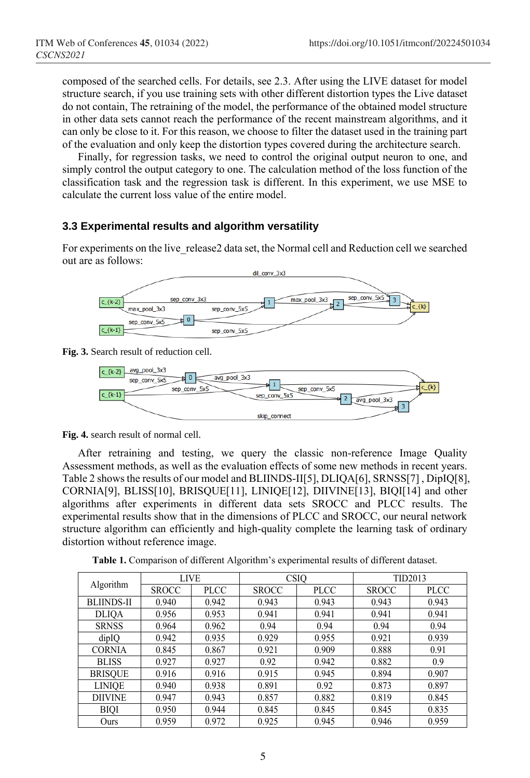composed of the searched cells. For details, see 2.3. After using the LIVE dataset for model structure search, if you use training sets with other different distortion types the Live dataset do not contain, The retraining of the model, the performance of the obtained model structure in other data sets cannot reach the performance of the recent mainstream algorithms, and it can only be close to it. For this reason, we choose to filter the dataset used in the training part of the evaluation and only keep the distortion types covered during the architecture search.

Finally, for regression tasks, we need to control the original output neuron to one, and simply control the output category to one. The calculation method of the loss function of the classification task and the regression task is different. In this experiment, we use MSE to calculate the current loss value of the entire model.

## **3.3 Experimental results and algorithm versatility**

For experiments on the live\_release2 data set, the Normal cell and Reduction cell we searched out are as follows:



**Fig. 3.** Search result of reduction cell.



**Fig. 4.** search result of normal cell.

After retraining and testing, we query the classic non-reference Image Quality Assessment methods, as well as the evaluation effects of some new methods in recent years. Table 2 shows the results of our model and BLIINDS-II[5], DLIQA[6], SRNSS[7] , DipIQ[8], CORNIA[9], BLISS[10], BRISQUE[11], LINIQE[12], DIIVINE[13], BIQI[14] and other algorithms after experiments in different data sets SROCC and PLCC results. The experimental results show that in the dimensions of PLCC and SROCC, our neural network structure algorithm can efficiently and high-quality complete the learning task of ordinary distortion without reference image.

**Table 1.** Comparison of different Algorithm's experimental results of different dataset.

| Algorithm         | <b>LIVE</b>  |             | <b>CSIQ</b>  |             | TID2013      |       |
|-------------------|--------------|-------------|--------------|-------------|--------------|-------|
|                   | <b>SROCC</b> | <b>PLCC</b> | <b>SROCC</b> | <b>PLCC</b> | <b>SROCC</b> | PLCC  |
| <b>BLIINDS-II</b> | 0.940        | 0.942       | 0.943        | 0.943       | 0.943        | 0.943 |
| <b>DLIQA</b>      | 0.956        | 0.953       | 0.941        | 0.941       | 0.941        | 0.941 |
| <b>SRNSS</b>      | 0.964        | 0.962       | 0.94         | 0.94        | 0.94         | 0.94  |
| dipIQ             | 0.942        | 0.935       | 0.929        | 0.955       | 0.921        | 0.939 |
| <b>CORNIA</b>     | 0.845        | 0.867       | 0.921        | 0.909       | 0.888        | 0.91  |
| <b>BLISS</b>      | 0.927        | 0.927       | 0.92         | 0.942       | 0.882        | 0.9   |
| <b>BRISQUE</b>    | 0.916        | 0.916       | 0.915        | 0.945       | 0.894        | 0.907 |
| <b>LINIOE</b>     | 0.940        | 0.938       | 0.891        | 0.92        | 0.873        | 0.897 |
| <b>DIIVINE</b>    | 0.947        | 0.943       | 0.857        | 0.882       | 0.819        | 0.845 |
| <b>BIQI</b>       | 0.950        | 0.944       | 0.845        | 0.845       | 0.845        | 0.835 |
| Ours              | 0.959        | 0.972       | 0.925        | 0.945       | 0.946        | 0.959 |